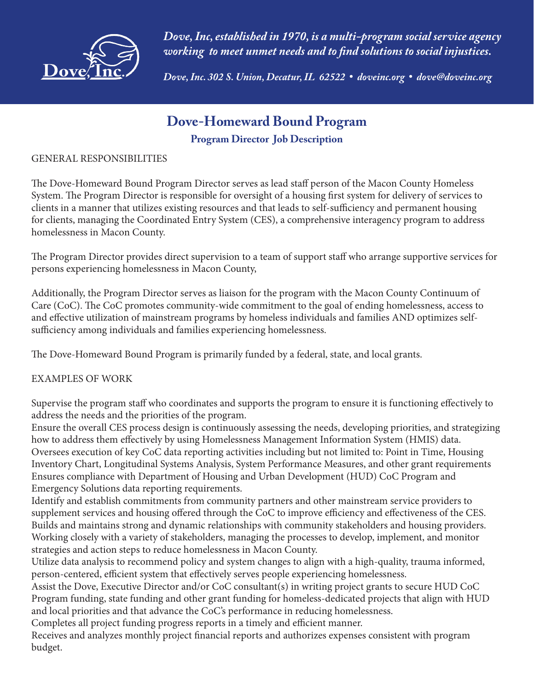

*Dove, Inc, established in 1970, is a multi-program social service agency working to meet unmet needs and to find solutions to social injustices.* 

*Dove, Inc. 302 S. Union, Decatur, IL 62522* **•** *doveinc.org* **•** *dove@doveinc.org*

## **Dove-Homeward Bound Program**

### **Program Director Job Description**

#### GENERAL RESPONSIBILITIES

The Dove-Homeward Bound Program Director serves as lead staff person of the Macon County Homeless System. The Program Director is responsible for oversight of a housing first system for delivery of services to clients in a manner that utilizes existing resources and that leads to self-sufficiency and permanent housing for clients, managing the Coordinated Entry System (CES), a comprehensive interagency program to address homelessness in Macon County.

The Program Director provides direct supervision to a team of support staff who arrange supportive services for persons experiencing homelessness in Macon County,

Additionally, the Program Director serves as liaison for the program with the Macon County Continuum of Care (CoC). The CoC promotes community-wide commitment to the goal of ending homelessness, access to and effective utilization of mainstream programs by homeless individuals and families AND optimizes selfsufficiency among individuals and families experiencing homelessness.

The Dove-Homeward Bound Program is primarily funded by a federal, state, and local grants.

### EXAMPLES OF WORK

Supervise the program staff who coordinates and supports the program to ensure it is functioning effectively to address the needs and the priorities of the program.

Ensure the overall CES process design is continuously assessing the needs, developing priorities, and strategizing how to address them effectively by using Homelessness Management Information System (HMIS) data. Oversees execution of key CoC data reporting activities including but not limited to: Point in Time, Housing Inventory Chart, Longitudinal Systems Analysis, System Performance Measures, and other grant requirements Ensures compliance with Department of Housing and Urban Development (HUD) CoC Program and Emergency Solutions data reporting requirements.

Identify and establish commitments from community partners and other mainstream service providers to supplement services and housing offered through the CoC to improve efficiency and effectiveness of the CES. Builds and maintains strong and dynamic relationships with community stakeholders and housing providers. Working closely with a variety of stakeholders, managing the processes to develop, implement, and monitor strategies and action steps to reduce homelessness in Macon County.

Utilize data analysis to recommend policy and system changes to align with a high-quality, trauma informed, person-centered, efficient system that effectively serves people experiencing homelessness.

Assist the Dove, Executive Director and/or CoC consultant(s) in writing project grants to secure HUD CoC Program funding, state funding and other grant funding for homeless-dedicated projects that align with HUD and local priorities and that advance the CoC's performance in reducing homelessness.

Completes all project funding progress reports in a timely and efficient manner.

Receives and analyzes monthly project financial reports and authorizes expenses consistent with program budget.